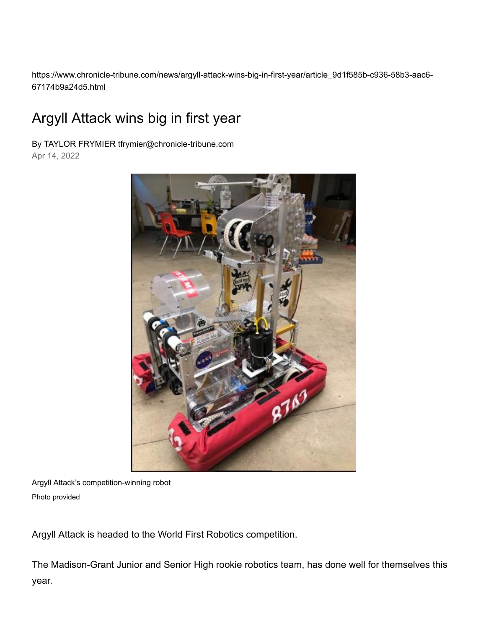https://www.chronicle-tribune.com/news/argyll-attack-wins-big-in-first-year/article\_9d1f585b-c936-58b3-aac6- 67174b9a24d5.html

## Argyll Attack wins big in first year

By TAYLOR FRYMIER tfrymier@chronicle-tribune.com Apr 14, 2022



Argyll Attack's competition-winning robot Photo provided

Argyll Attack is headed to the World First Robotics competition.

The Madison-Grant Junior and Senior High rookie robotics team, has done well for themselves this year.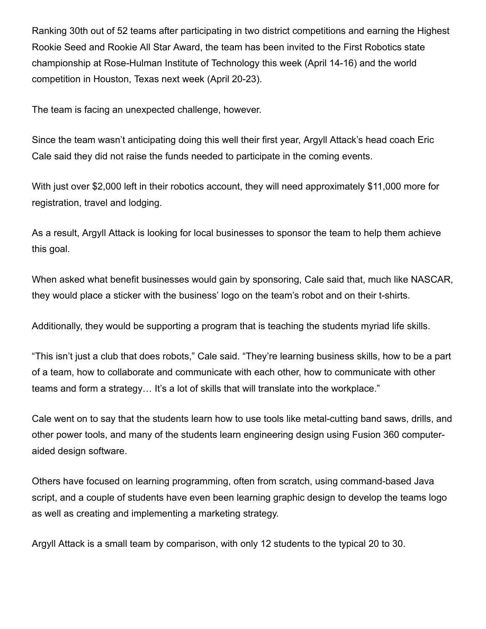Ranking 30th out of 52 teams after participating in two district competitions and earning the Highest Rookie Seed and Rookie All Star Award, the team has been invited to the First Robotics state championship at Rose-Hulman Institute of Technology this week (April 14-16) and the world competition in Houston, Texas next week (April 20-23).

The team is facing an unexpected challenge, however.

Since the team wasn't anticipating doing this well their first year, Argyll Attack's head coach Eric Cale said they did not raise the funds needed to participate in the coming events.

With just over \$2,000 left in their robotics account, they will need approximately \$11,000 more for registration, travel and lodging.

As a result, Argyll Attack is looking for local businesses to sponsor the team to help them achieve this goal.

When asked what benefit businesses would gain by sponsoring, Cale said that, much like NASCAR, they would place a sticker with the business' logo on the team's robot and on their t-shirts.

Additionally, they would be supporting a program that is teaching the students myriad life skills.

"This isn't just a club that does robots," Cale said. "They're learning business skills, how to be a part of a team, how to collaborate and communicate with each other, how to communicate with other teams and form a strategy… It's a lot of skills that will translate into the workplace."

Cale went on to say that the students learn how to use tools like metal-cutting band saws, drills, and other power tools, and many of the students learn engineering design using Fusion 360 computeraided design software.

Others have focused on learning programming, often from scratch, using command-based Java script, and a couple of students have even been learning graphic design to develop the teams logo as well as creating and implementing a marketing strategy.

Argyll Attack is a small team by comparison, with only 12 students to the typical 20 to 30.